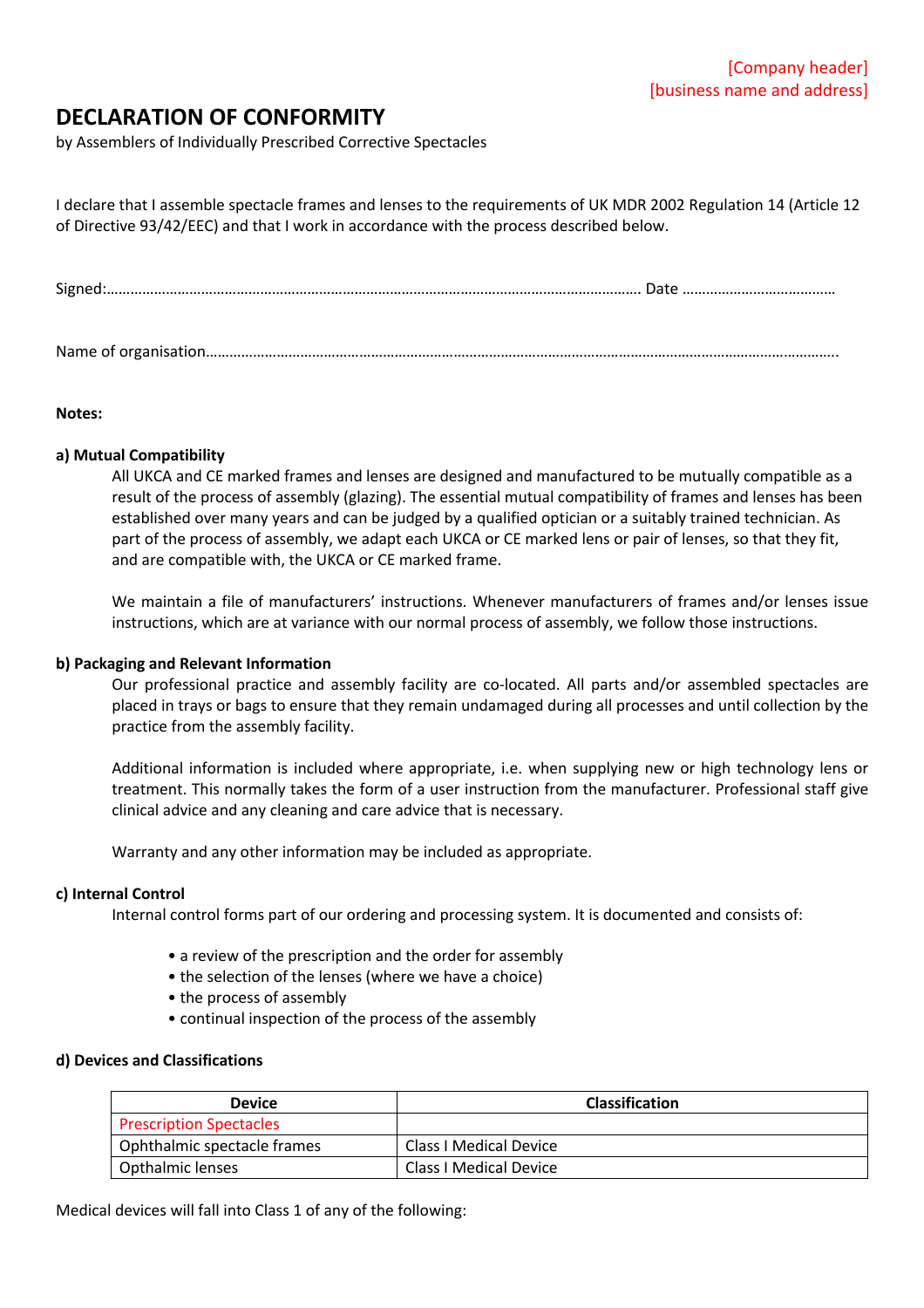# **DECLARATION OF CONFORMITY**

by Assemblers of Individually Prescribed Corrective Spectacles

I declare that I assemble spectacle frames and lenses to the requirements of UK MDR 2002 Regulation 14 (Article 12 of Directive 93/42/EEC) and that I work in accordance with the process described below.

Name of organisation……………………………………………………………………………………………………………………………………………..

### **Notes:**

## **a) Mutual Compatibility**

All UKCA and CE marked frames and lenses are designed and manufactured to be mutually compatible as a result of the process of assembly (glazing). The essential mutual compatibility of frames and lenses has been established over many years and can be judged by a qualified optician or a suitably trained technician. As part of the process of assembly, we adapt each UKCA or CE marked lens or pair of lenses, so that they fit, and are compatible with, the UKCA or CE marked frame.

We maintain a file of manufacturers' instructions. Whenever manufacturers of frames and/or lenses issue instructions, which are at variance with our normal process of assembly, we follow those instructions.

## **b) Packaging and Relevant Information**

Our professional practice and assembly facility are co-located. All parts and/or assembled spectacles are placed in trays or bags to ensure that they remain undamaged during all processes and until collection by the practice from the assembly facility.

Additional information is included where appropriate, i.e. when supplying new or high technology lens or treatment. This normally takes the form of a user instruction from the manufacturer. Professional staff give clinical advice and any cleaning and care advice that is necessary.

Warranty and any other information may be included as appropriate.

#### **c) Internal Control**

Internal control forms part of our ordering and processing system. It is documented and consists of:

- a review of the prescription and the order for assembly
- the selection of the lenses (where we have a choice)
- the process of assembly
- continual inspection of the process of the assembly

#### **d) Devices and Classifications**

| <b>Device</b>                  | <b>Classification</b>  |
|--------------------------------|------------------------|
| <b>Prescription Spectacles</b> |                        |
| Ophthalmic spectacle frames    | Class I Medical Device |
| Opthalmic lenses               | Class I Medical Device |

Medical devices will fall into Class 1 of any of the following: